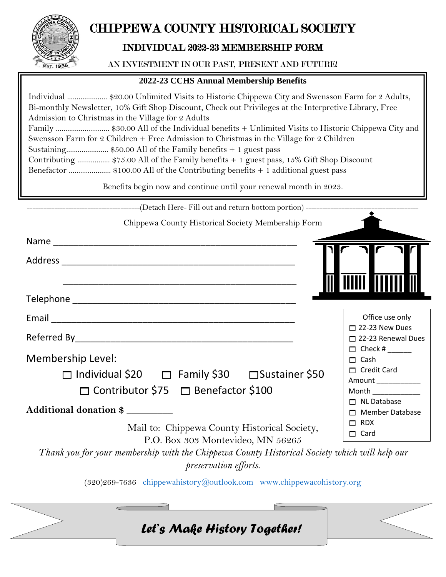

# CHIPPEWA COUNTY HISTORICAL SOCIETY

## INDIVIDUAL 2022-23 MEMBERSHIP FORM

#### AN INVESTMENT IN OUR PAST, PRESENT AND FUTURE!

### **2022-23 CCHS Annual Membership Benefits**

| Individual  \$20.00 Unlimited Visits to Historic Chippewa City and Swensson Farm for 2 Adults,<br>Bi-monthly Newsletter, 10% Gift Shop Discount, Check out Privileges at the Interpretive Library, Free<br>Admission to Christmas in the Village for 2 Adults<br>Family  \$30.00 All of the Individual benefits + Unlimited Visits to Historic Chippewa City and<br>Swensson Farm for 2 Children + Free Admission to Christmas in the Village for 2 Children<br>Sustaining \$50.00 All of the Family benefits + 1 guest pass<br>Contributing  \$75.00 All of the Family benefits + 1 guest pass, 15% Gift Shop Discount<br>Benefactor  \$100.00 All of the Contributing benefits + 1 additional guest pass |                                                                                        |  |
|------------------------------------------------------------------------------------------------------------------------------------------------------------------------------------------------------------------------------------------------------------------------------------------------------------------------------------------------------------------------------------------------------------------------------------------------------------------------------------------------------------------------------------------------------------------------------------------------------------------------------------------------------------------------------------------------------------|----------------------------------------------------------------------------------------|--|
| Benefits begin now and continue until your renewal month in 2023.                                                                                                                                                                                                                                                                                                                                                                                                                                                                                                                                                                                                                                          |                                                                                        |  |
| ------------------------------(Detach Here- Fill out and return bottom portion) -------------------                                                                                                                                                                                                                                                                                                                                                                                                                                                                                                                                                                                                        |                                                                                        |  |
| Chippewa County Historical Society Membership Form                                                                                                                                                                                                                                                                                                                                                                                                                                                                                                                                                                                                                                                         |                                                                                        |  |
|                                                                                                                                                                                                                                                                                                                                                                                                                                                                                                                                                                                                                                                                                                            |                                                                                        |  |
|                                                                                                                                                                                                                                                                                                                                                                                                                                                                                                                                                                                                                                                                                                            | <b>TIIIII            </b>                                                              |  |
|                                                                                                                                                                                                                                                                                                                                                                                                                                                                                                                                                                                                                                                                                                            |                                                                                        |  |
|                                                                                                                                                                                                                                                                                                                                                                                                                                                                                                                                                                                                                                                                                                            | Office use only                                                                        |  |
|                                                                                                                                                                                                                                                                                                                                                                                                                                                                                                                                                                                                                                                                                                            | $\Box$ 22-23 New Dues<br>□ 22-23 Renewal Dues                                          |  |
| Membership Level:                                                                                                                                                                                                                                                                                                                                                                                                                                                                                                                                                                                                                                                                                          | $\Box$ Check # _______<br>$\Box$ Cash                                                  |  |
| □ Individual \$20 □ Family \$30 □ Sustainer \$50<br>□ Contributor \$75 □ Benefactor \$100                                                                                                                                                                                                                                                                                                                                                                                                                                                                                                                                                                                                                  | $\Box$ Credit Card<br>Amount ____________<br>Month $\frac{1}{2}$<br>$\Box$ NL Database |  |
| Additional donation \$<br>Mail to: Chippewa County Historical Society,<br>P.O. Box 303 Montevideo, MN 56265<br>Thank you for your membership with the Chippewa County Historical Society which will help our                                                                                                                                                                                                                                                                                                                                                                                                                                                                                               | $\Box$ Member Database<br>$\Box$ RDX<br>$\Box$ Card                                    |  |

*preservation efforts.*

(320)269-7636 [chippewahistory@outlook.com](mailto:chippewahistory@outlook.com) [www.chippewacohistory.org](http://www.chippewacohistory.org/)